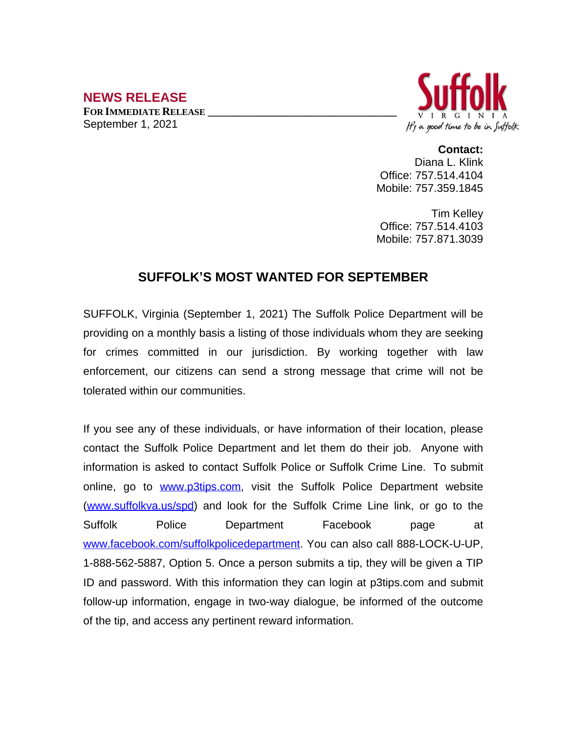## **NEWS RELEASE**

**FOR IMMEDIATE RELEASE \_\_\_\_\_\_\_\_\_\_\_\_\_\_\_\_\_\_\_\_\_\_\_\_\_\_\_\_\_\_\_\_\_\_** September 1, 2021



**Contact:** Diana L. Klink Office: 757.514.4104 Mobile: 757.359.1845

Tim Kelley Office: 757.514.4103 Mobile: 757.871.3039

## **SUFFOLK'S MOST WANTED FOR SEPTEMBER**

SUFFOLK, Virginia (September 1, 2021) The Suffolk Police Department will be providing on a monthly basis a listing of those individuals whom they are seeking for crimes committed in our jurisdiction. By working together with law enforcement, our citizens can send a strong message that crime will not be tolerated within our communities.

If you see any of these individuals, or have information of their location, please contact the Suffolk Police Department and let them do their job. Anyone with information is asked to contact Suffolk Police or Suffolk Crime Line. To submit online, go to [www.p3tips.com](http://www.p3tips.com), visit the Suffolk Police Department website ([www.suffolkva.us/spd](http://www.suffolkva.us/spd)) and look for the Suffolk Crime Line link, or go to the Suffolk Police Department Facebook page at [www.facebook.com/suffolkpolicedepartment](http://www.facebook.com/suffolkpolicedepartment). You can also call 888-LOCK-U-UP, 1-888-562-5887, Option 5. Once a person submits a tip, they will be given a TIP ID and password. With this information they can login at p3tips.com and submit follow-up information, engage in two-way dialogue, be informed of the outcome of the tip, and access any pertinent reward information.